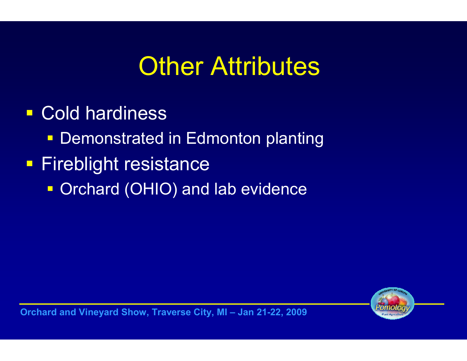# **Other Attributes**

 Cold hardiness■ Demonstrated in Edmonton planting **Fireblight resistance • Orchard (OHIO) and lab evidence** 



Orchard and Vineyard Show, Traverse City, MI – Jan 21-22, 2009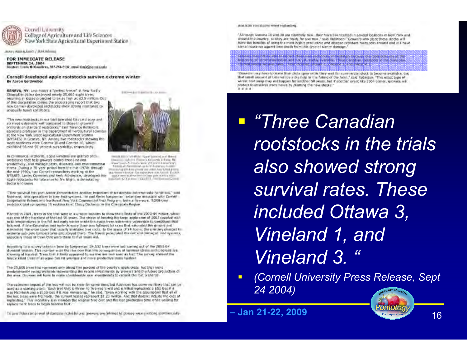

Connell University College of Agriculture and Life Sciences New York State Agricultural Experiment Station

Manuel Westin & Grands / JANA Midwaters

FOR IMMEDIATE RELEASE **SEPTEMBER 24, 2004** Contact: Linda NeCamilina, 697-254-6137, musii tindeSconntitudu.

#### Cornell-developed apple rootstocks survive extreme winter By Aaron Goldweber

GENEVA, NYI Lost miner a "perfect freeze" in hew hork's Champion Valley destroyed nearly 25,000 spole trees. resulting in losses projected to be as high as \$2.5 million. Dut: of this devastation comes the encouraging report that two new Carnell-developed nirostocks show stractg resistance to uouscalle hassit conditions.

The new rootstocks in our trial transfed to a cold scap and auctived extremely well compared to those in growers' preturels an startfard roatstocks," said Ference flotterent. essociate professor in the department of horticultural sciences at the New York State Agricultural Experiment Station (MYSAES) in Geneva, NY. Among five rootstocks showing the most hardiness were Geneva 30 and Geneva 16, which excribited 96 and 92 percent survivability, respectively.

In commercial inchants, apple virticities in nigraffed onto. rootstocks that help growers control tree-line and. productivity, and manage pasts, diseases, and environmental stress. During a 20-year period from the mid-1970s timough the mid-1990s, two Cornell researchers working at the NYSAES, James Cummins and Herb Aldwinocle, developed this apple recistocks for tolerance to fire tillatt, a devioustingbacterial disease.

EXPHASIVE BOTH BLACK AND

WHILE HELD YAP WERE \$2449 YOUNG Lough Motors Identica (cylctivit d'interno giolanzia antario) Mi The Control of Court Measurer

NUMBARY ARE \$200 FOR \$200 FOR \$200 FOR \$200 FOR \$200 FOR \$200 FOR \$200 FOR \$200 FOR \$200 FOR \$200 FOR and the contributions. Company to prevent the top of 25 and 1 provided \$2.5 percent state of the measure

Their suitwival this post writer demonstrates another important chancements; extreme colo-hunumus," sami Robinsod, alto specializes in the fruit systems. He and Kirvin turigenman; extension exiscuate with Contell Dropensific Extension's Northinst New York Commercial Prize Program, favor a frae-were, 1,200-treat (resistable trial comparing 14 nottingles at Chazy Orchards in the Champlain Region.

Rinted in 2001, trees in the trial were in a unique location to youw the effects of the 2003-04 wires, which was one of the harshest of the last \$6 years. The stress of hearing his large apple crop of 2003 coupled with mito temperatones in the fall and early winter mails the apple frees extremity vulceratie to conciliant frai-Inflorest. A liste-December and early-January thaw was followed by rains that saturabid the ground and Himinoted the snow cover that issuilly souldies tree roots. In the space of 24 hours; the mercury olympic to extreme sub-zero temperatures and stayed there. The freeze penetrated the rail and alement root systems, expectibly those or brees blue ware these to five years out.

According to a survey taken in June by fungerman, 24,632 trees were less conting out of the 2051-04 dominit season. This number in an the rise does that the consequences of tummer stress and cropines are. khowing at his view). Trees that tribally appared to worthe are too saint as lost. The parvity showed the these kitad trans of all yone but no yourser and more productive treat hardest.

The 25,000 trees lost represent anly about five percent of the county's apple treas, hut they were prodominantly young or thanks representing the recent investments by growing and the future groundties of the area. Growers sell have to make considerable may eventments to replace the lost orchands.

The expension ampact of the loss will not be close for serve time, but flothised has some members that can be used as a starting punt. "Each true that is finite- to five-years old and is killed represents a \$50 less if it mas McDritosh and a \$100 loss if it was Honopenap," he said. "Even working with the assumption that all of the lost treas were McIntosh, the current topols represent \$1.23 million. And that doesn't include the orst of replaciting." This monitory lass mobdes the original tree cost and the lost production time white exiling for niplacement trees to begin bearing trust.

This and Travel of the process of a state of the Show of the Show of the Show of the Show of the Show of the Show of the Show of the Show of the Show of the Show of the Show of the Show of the Show of the Show of the Show

modulation resistablicks when relationizing

"Although Geneva 14 and 18 and nightwelv heat, they have been tested in several locations in New York and (inputed the country, so they are ready for use now," said Robinson. "Growers who plant these stocks will liays the banefits of using the most highly productive and disease-resistant rootstocks ansurd and will have atma insurance against tree muth from this type of senter damage."

Growers may have to know their pluts open while they wait for commercial stock to become evaliable. Uut That amab arount of time left be a big belp in the future of the farm," said Robinson. "This exact type of writer cold snap may not happen for smother 50 years, but if abother event like 2004 comes, growers will protect dismissives from insure by planting the new stocks."  $8044$ 

.<br>Le première de l'actual la mainte de les reconstructions année l'actual de la court de constitution et de US-<br>Le première d'actual de l'actual de l'actual de l'actual de l'actual de l'actual la contrader a the trave 350

**Three Canadian** rootstocks in the trials also showed strong survival rates. These included Ottawa 3, Vineland 1, and Vineland 3.

 $\blacksquare$  (Cornell University Press Release, Sept 24 2004)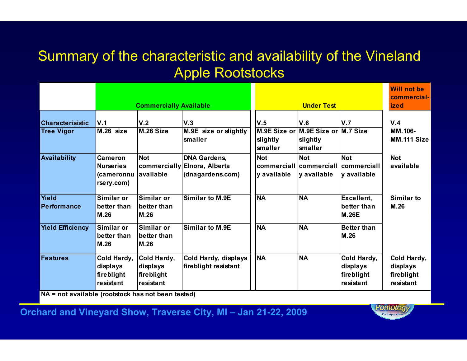#### Summary of the characteristic and availability of the Vineland Apple Rootstocks

|                                              |                                                                | <b>Commercially Available</b>                      |                                                                         |                                   | <b>Under Test</b>                                                       |                                                    | <b>Will not be</b><br>commercial-<br><b>ized</b>   |
|----------------------------------------------|----------------------------------------------------------------|----------------------------------------------------|-------------------------------------------------------------------------|-----------------------------------|-------------------------------------------------------------------------|----------------------------------------------------|----------------------------------------------------|
| <b>Characterisistic</b><br><b>Tree Vigor</b> | V.1<br>M.26 size                                               | V.2<br>M.26 Size                                   | V.3<br>M.9E size or slightly<br>smaller                                 | V.5<br>slightly<br><b>smaller</b> | V.6<br>M.9E Size or M.9E Size or M.7 Size<br>slightly<br><b>smaller</b> | V.7                                                | V.4<br>MM.106-<br>MM.111 Size                      |
| <b>Availability</b>                          | <b>Cameron</b><br><b>Nurseries</b><br>(cameronnu<br>rsery.com) | <b>Not</b><br>lavailable                           | <b>DNA Gardens,</b><br>commercially Elnora, Alberta<br>(dnagardens.com) | <b>Not</b><br>y available         | <b>Not</b><br> commercial  commercial  commercial <br>y available       | <b>Not</b><br>y available                          | <b>Not</b><br>available                            |
| <b>Yield</b><br><b>Performance</b>           | Similar or<br>better than<br>M.26                              | Similar or<br>better than<br><b>M.26</b>           | <b>Similar to M.9E</b>                                                  | <b>NA</b>                         | <b>NA</b>                                                               | Excellent,<br>better than<br><b>M.26E</b>          | Similar to<br>M.26                                 |
| <b>Yield Efficiency</b>                      | Similar or<br>better than<br>M.26                              | Similar or<br>better than<br>M.26                  | <b>Similar to M.9E</b>                                                  | <b>NA</b>                         | <b>NA</b>                                                               | <b>Better than</b><br>M.26                         |                                                    |
| <b>Features</b>                              | Cold Hardy,<br>displays<br>fireblight<br>resistant             | Cold Hardy,<br>displays<br>fireblight<br>resistant | Cold Hardy, displays<br>fireblight resistant                            | <b>NA</b>                         | <b>NA</b>                                                               | Cold Hardy,<br>displays<br>fireblight<br>resistant | Cold Hardy,<br>displays<br>fireblight<br>resistant |

NA = not available (rootstock has not been tested)

Orchard and Vineyard Show, Traverse City, MI – Jan 21-22, 2009

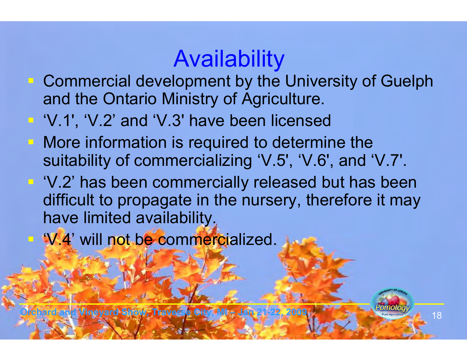# Availability

- **Commercial development by the University of Guelph** and the Ontario Ministry of Agriculture.
- 'V.1', 'V.2' and 'V.3' have been licensed
- **More information is required to determine the** suitability of commercializing 'V.5', 'V.6', and 'V.7'.
- 'V.2' has been commercially released but has been<br>difficult to propagato in the pursory, therefore it may difficult to propagate in the nursery, therefore it may have limited availability.
- 'V.4' will not be commercialized.

**Orchard Show, Traverse City, MI – Jan**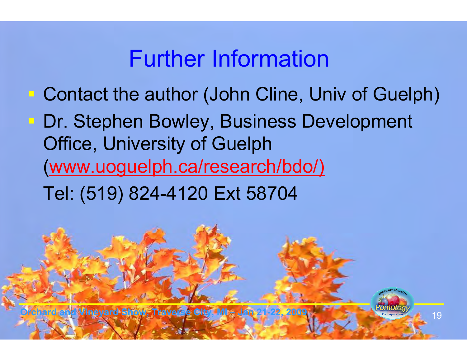#### Further Information

- **Contact the author (John Cline, Univ of Guelph)**
- **Dr. Stephen Bowley, Business Development** Office, University of Guelph (www.uoguelph.ca/research/bdo/)
	- Tel: (519) 824-4120 Ext 58704

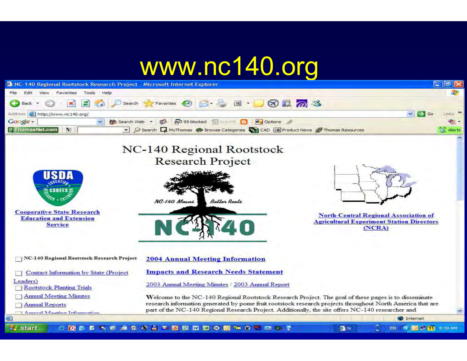### www.nc140.org

| NC-140 Regional Rootstock Research Project - Microsoft Internet Explorer                                                                                                                                                    |                                                                                                                                                                                                                                                                                                                                                                                                                                                                      | $\sigma$                            |
|-----------------------------------------------------------------------------------------------------------------------------------------------------------------------------------------------------------------------------|----------------------------------------------------------------------------------------------------------------------------------------------------------------------------------------------------------------------------------------------------------------------------------------------------------------------------------------------------------------------------------------------------------------------------------------------------------------------|-------------------------------------|
| File<br>Tools<br>Help<br>Favorites<br>Edit<br>View                                                                                                                                                                          |                                                                                                                                                                                                                                                                                                                                                                                                                                                                      |                                     |
| е<br><b>Back</b>                                                                                                                                                                                                            | Search <b>大Favorites ④ B · B 国 · D 6 1 2 2</b>                                                                                                                                                                                                                                                                                                                                                                                                                       |                                     |
| Address Http://www.nc140.org/                                                                                                                                                                                               |                                                                                                                                                                                                                                                                                                                                                                                                                                                                      | $\Rightarrow$ Go<br>$\sim$<br>Links |
| Google -<br>Search Web                                                                                                                                                                                                      | B 95 blocked <b>B</b> AutoFill <b>B</b><br><b>P</b> _Options<br>$\sqrt{2}$<br>$\overline{\phantom{a}}$                                                                                                                                                                                                                                                                                                                                                               | ज़                                  |
| <b>F</b> ThomasNet.com<br>Ñ.                                                                                                                                                                                                | → Search WyThomas  Search Dividends  Search Dividends  Search Dividends  Search Dividends  Search Dividends  Search Dividends  Search Dividends  Search Dividends  Search Dividends  Search Dividends  Search Dividends  Sear                                                                                                                                                                                                                                        | Alerts                              |
| <b>Cooperative State Research</b><br><b>Education and Extension</b><br><b>Service</b>                                                                                                                                       | NC-140 Regional Rootstock<br><b>Research Project</b><br>NC-140 Means<br>Better Roots<br><b>North-Central Regional Association of</b><br><b>Agricultural Experiment Station Directors</b><br>(NCRA)                                                                                                                                                                                                                                                                   |                                     |
| NC-140 Regional Rootstock Research Project<br>Contact Information by State (Project<br>Leaders)<br><b>Rootstock Planting Trials</b><br><b>Annual Meeting Minutes</b><br><b>Annual Reports</b><br>Annual Meating Information | <b>2004 Annual Meeting Information</b><br><b>Impacts and Research Needs Statement</b><br>2003 Annual Meeting Minutes / 2003 Annual Report<br>Welcome to the NC-140 Regional Rootstock Research Project. The goal of these pages is to disseminate<br>research information generated by pome fruit rootstock research projects throughout North America that are<br>part of the NC-140 Regional Research Project. Additionally, the site offers NC-140 researcher and | $\checkmark$                        |
|                                                                                                                                                                                                                             |                                                                                                                                                                                                                                                                                                                                                                                                                                                                      | Internet                            |
| $\blacksquare$ start<br>c                                                                                                                                                                                                   | QUENCAC # E VERDEO D & O C COT<br>叠N                                                                                                                                                                                                                                                                                                                                                                                                                                 |                                     |